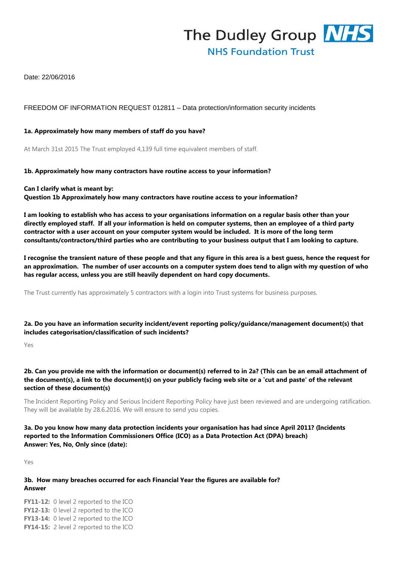

Date: 22/06/2016

## FREEDOM OF INFORMATION REQUEST 012811 – Data protection/information security incidents

#### **1a. Approximately how many members of staff do you have?**

At March 31st 2015 The Trust employed 4,139 full time equivalent members of staff.

#### **1b. Approximately how many contractors have routine access to your information?**

**Can I clarify what is meant by: Question 1b Approximately how many contractors have routine access to your information?**

**I am looking to establish who has access to your organisations information on a regular basis other than your directly employed staff. If all your information is held on computer systems, then an employee of a third party contractor with a user account on your computer system would be included. It is more of the long term consultants/contractors/third parties who are contributing to your business output that I am looking to capture.**

**I recognise the transient nature of these people and that any figure in this area is a best guess, hence the request for an approximation. The number of user accounts on a computer system does tend to align with my question of who has regular access, unless you are still heavily dependent on hard copy documents.**

The Trust currently has approximately 5 contractors with a login into Trust systems for business purposes.

**2a. Do you have an information security incident/event reporting policy/guidance/management document(s) that includes categorisation/classification of such incidents?**

Yes

## **2b. Can you provide me with the information or document(s) referred to in 2a? (This can be an email attachment of the document(s), a link to the document(s) on your publicly facing web site or a 'cut and paste' of the relevant section of these document(s)**

The Incident Reporting Policy and Serious Incident Reporting Policy have just been reviewed and are undergoing ratification. They will be available by 28.6.2016. We will ensure to send you copies.

# **3a. Do you know how many data protection incidents your organisation has had since April 2011? (Incidents reported to the Information Commissioners Office (ICO) as a Data Protection Act (DPA) breach) Answer: Yes, No, Only since (date):**

Yes

## **3b. How many breaches occurred for each Financial Year the figures are available for? Answer**

**FY11-12:** 0 level 2 reported to the ICO **FY12-13:** 0 level 2 reported to the ICO **FY13-14:** 0 level 2 reported to the ICO **FY14-15:** 2 level 2 reported to the ICO